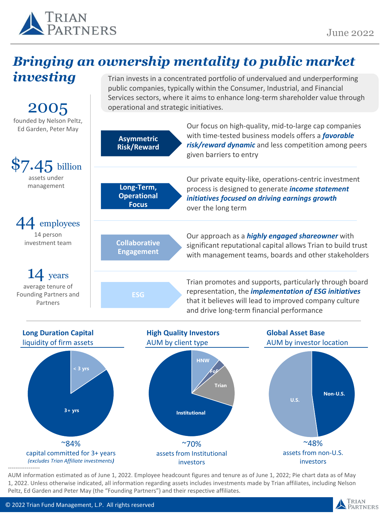

# *Bringing an ownership mentality to public market*





AUM information estimated as of June 1, 2022. Employee headcount figures and tenure as of June 1, 2022; Pie chart data as of May 1, 2022. Unless otherwise indicated, all information regarding assets includes investments made by Trian affiliates, including Nelson Peltz, Ed Garden and Peter May (the "Founding Partners") and their respective affiliates.

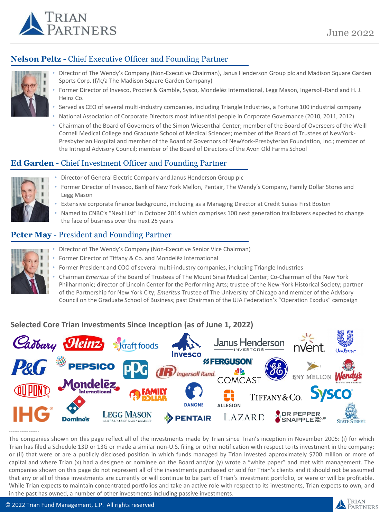

# **Nelson Peltz** - Chief Executive Officer and Founding Partner



- Director of The Wendy's Company (Non-Executive Chairman), Janus Henderson Group plc and Madison Square Garden Sports Corp. (f/k/a The Madison Square Garden Company)
- Former Director of Invesco, Procter & Gamble, Sysco, Mondelēz International, Legg Mason, Ingersoll-Rand and H. J. Heinz Co.
- Served as CEO of several multi-industry companies, including Triangle Industries, a Fortune 100 industrial company
- National Association of Corporate Directors most influential people in Corporate Governance (2010, 2011, 2012)
- Chairman of the Board of Governors of the Simon Wiesenthal Center; member of the Board of Overseers of the Weill Cornell Medical College and Graduate School of Medical Sciences; member of the Board of Trustees of NewYork-Presbyterian Hospital and member of the Board of Governors of NewYork-Presbyterian Foundation, Inc.; member of the Intrepid Advisory Council; member of the Board of Directors of the Avon Old Farms School

## **Ed Garden** - Chief Investment Officer and Founding Partner



- Director of General Electric Company and Janus Henderson Group plc
- Former Director of Invesco, Bank of New York Mellon, Pentair, The Wendy's Company, Family Dollar Stores and Legg Mason
- Extensive corporate finance background, including as a Managing Director at Credit Suisse First Boston
- Named to CNBC's "Next List" in October 2014 which comprises 100 next generation trailblazers expected to change the face of business over the next 25 years

## **Peter May** - President and Founding Partner

- Director of The Wendy's Company (Non-Executive Senior Vice Chairman)
- Former Director of Tiffany & Co. and Mondelēz International
- Former President and COO of several multi-industry companies, including Triangle Industries
- Chairman *Emeritus* of the Board of Trustees of The Mount Sinai Medical Center; Co-Chairman of the New York Philharmonic; director of Lincoln Center for the Performing Arts; trustee of the New-York Historical Society; partner of the Partnership for New York City; *Emeritus* Trustee of The University of Chicago and member of the Advisory Council on the Graduate School of Business; past Chairman of the UJA Federation's "Operation Exodus" campaign

## **Selected Core Trian Investments Since Inception (as of June 1, 2022)**



----------------- The companies shown on this page reflect all of the investments made by Trian since Trian's inception in November 2005: (i) for which Trian has filed a Schedule 13D or 13G or made a similar non-U.S. filing or other notification with respect to its investment in the company; or (ii) that were or are a publicly disclosed position in which funds managed by Trian invested approximately \$700 million or more of capital and where Trian (x) had a designee or nominee on the Board and/or (y) wrote a "white paper" and met with management. The companies shown on this page do not represent all of the investments purchased or sold for Trian's clients and it should not be assumed that any or all of these investments are currently or will continue to be part of Trian's investment portfolio, or were or will be profitable. While Trian expects to maintain concentrated portfolios and take an active role with respect to its investments, Trian expects to own, and in the past has owned, a number of other investments including passive investments.